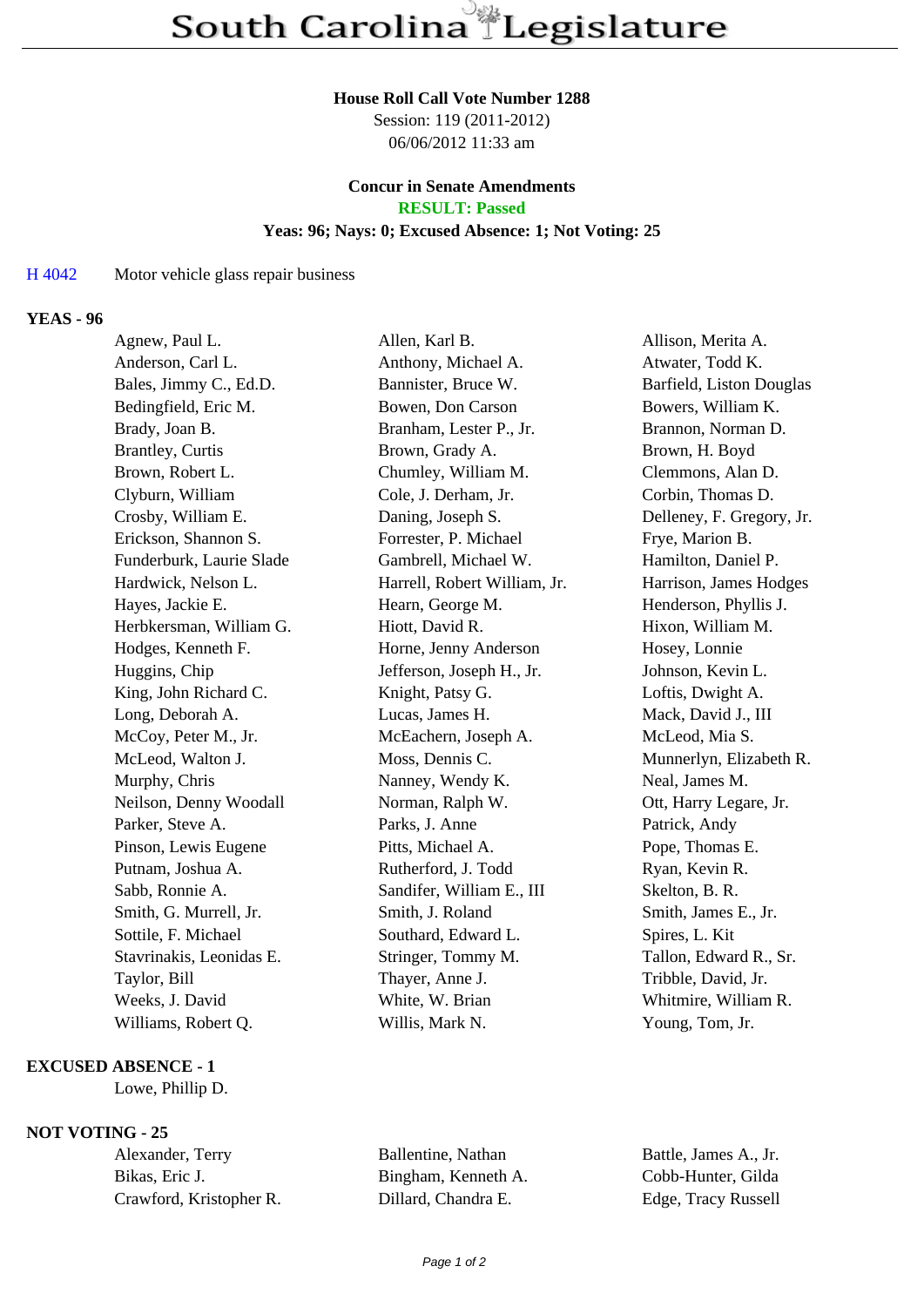# **House Roll Call Vote Number 1288**

Session: 119 (2011-2012) 06/06/2012 11:33 am

### **Concur in Senate Amendments RESULT: Passed**

# **Yeas: 96; Nays: 0; Excused Absence: 1; Not Voting: 25**

### H 4042 Motor vehicle glass repair business

## **YEAS - 96**

| Agnew, Paul L.           | Allen, Karl B.               | Allison, Merita A.        |
|--------------------------|------------------------------|---------------------------|
| Anderson, Carl L.        | Anthony, Michael A.          | Atwater, Todd K.          |
| Bales, Jimmy C., Ed.D.   | Bannister, Bruce W.          | Barfield, Liston Douglas  |
| Bedingfield, Eric M.     | Bowen, Don Carson            | Bowers, William K.        |
| Brady, Joan B.           | Branham, Lester P., Jr.      | Brannon, Norman D.        |
| <b>Brantley</b> , Curtis | Brown, Grady A.              | Brown, H. Boyd            |
| Brown, Robert L.         | Chumley, William M.          | Clemmons, Alan D.         |
| Clyburn, William         | Cole, J. Derham, Jr.         | Corbin, Thomas D.         |
| Crosby, William E.       | Daning, Joseph S.            | Delleney, F. Gregory, Jr. |
| Erickson, Shannon S.     | Forrester, P. Michael        | Frye, Marion B.           |
| Funderburk, Laurie Slade | Gambrell, Michael W.         | Hamilton, Daniel P.       |
| Hardwick, Nelson L.      | Harrell, Robert William, Jr. | Harrison, James Hodges    |
| Hayes, Jackie E.         | Hearn, George M.             | Henderson, Phyllis J.     |
| Herbkersman, William G.  | Hiott, David R.              | Hixon, William M.         |
| Hodges, Kenneth F.       | Horne, Jenny Anderson        | Hosey, Lonnie             |
| Huggins, Chip            | Jefferson, Joseph H., Jr.    | Johnson, Kevin L.         |
| King, John Richard C.    | Knight, Patsy G.             | Loftis, Dwight A.         |
| Long, Deborah A.         | Lucas, James H.              | Mack, David J., III       |
| McCoy, Peter M., Jr.     | McEachern, Joseph A.         | McLeod, Mia S.            |
| McLeod, Walton J.        | Moss, Dennis C.              | Munnerlyn, Elizabeth R.   |
| Murphy, Chris            | Nanney, Wendy K.             | Neal, James M.            |
| Neilson, Denny Woodall   | Norman, Ralph W.             | Ott, Harry Legare, Jr.    |
| Parker, Steve A.         | Parks, J. Anne               | Patrick, Andy             |
| Pinson, Lewis Eugene     | Pitts, Michael A.            | Pope, Thomas E.           |
| Putnam, Joshua A.        | Rutherford, J. Todd          | Ryan, Kevin R.            |
| Sabb, Ronnie A.          | Sandifer, William E., III    | Skelton, B. R.            |
| Smith, G. Murrell, Jr.   | Smith, J. Roland             | Smith, James E., Jr.      |
| Sottile, F. Michael      | Southard, Edward L.          | Spires, L. Kit            |
| Stavrinakis, Leonidas E. | Stringer, Tommy M.           | Tallon, Edward R., Sr.    |
| Taylor, Bill             | Thayer, Anne J.              | Tribble, David, Jr.       |
| Weeks, J. David          | White, W. Brian              | Whitmire, William R.      |
| Williams, Robert Q.      | Willis, Mark N.              | Young, Tom, Jr.           |
|                          |                              |                           |

#### **EXCUSED ABSENCE - 1**

Lowe, Phillip D.

### **NOT VOTING - 25**

| Alexander, Terry        | Ballentine, Nathan  | Battle, James A., Jr. |
|-------------------------|---------------------|-----------------------|
| Bikas, Eric J.          | Bingham, Kenneth A. | Cobb-Hunter, Gilda    |
| Crawford, Kristopher R. | Dillard. Chandra E. | Edge, Tracy Russell   |